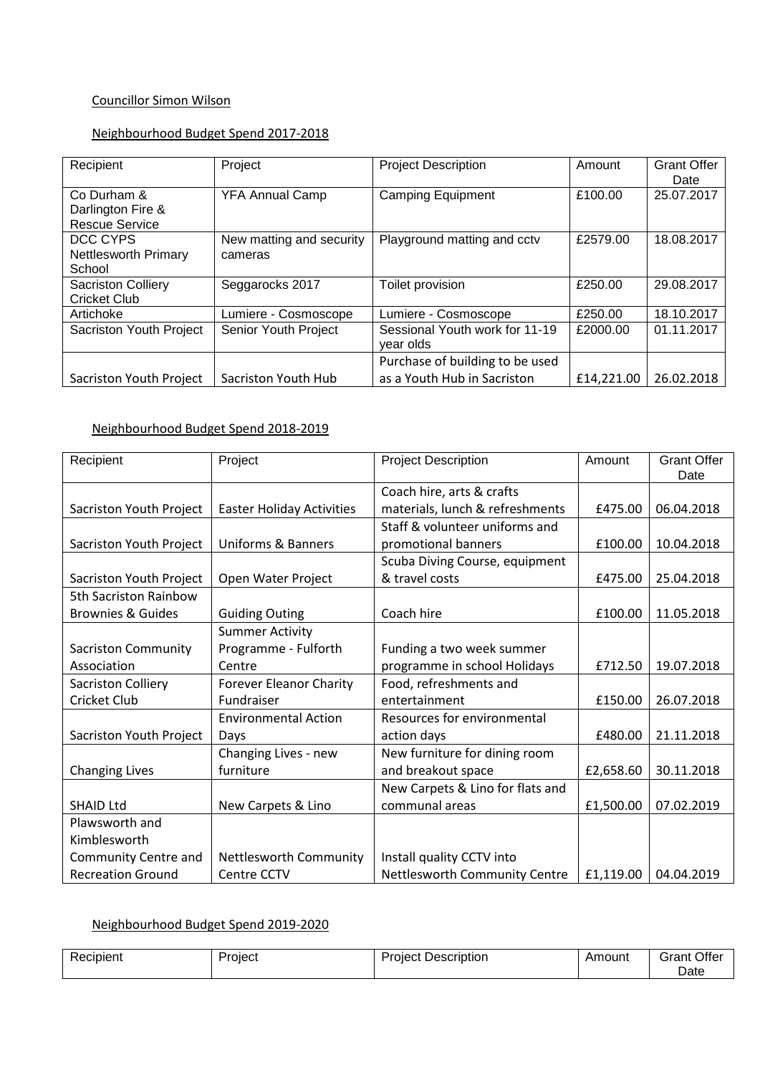### Councillor Simon Wilson

#### Neighbourhood Budget Spend 2017-2018

| Recipient                                  | Project                  | <b>Project Description</b>      | Amount     | <b>Grant Offer</b><br>Date |
|--------------------------------------------|--------------------------|---------------------------------|------------|----------------------------|
| Co Durham &                                | <b>YFA Annual Camp</b>   | <b>Camping Equipment</b>        | £100.00    | 25.07.2017                 |
| Darlington Fire &<br><b>Rescue Service</b> |                          |                                 |            |                            |
| DCC CYPS                                   | New matting and security | Playground matting and cctv     | £2579.00   | 18.08.2017                 |
| <b>Nettlesworth Primary</b>                | cameras                  |                                 |            |                            |
| School                                     |                          |                                 |            |                            |
| <b>Sacriston Colliery</b>                  | Seggarocks 2017          | Toilet provision                | £250.00    | 29.08.2017                 |
| <b>Cricket Club</b>                        |                          |                                 |            |                            |
| Artichoke                                  | Lumiere - Cosmoscope     | Lumiere - Cosmoscope            | £250.00    | 18.10.2017                 |
| Sacriston Youth Project                    | Senior Youth Project     | Sessional Youth work for 11-19  | £2000.00   | 01.11.2017                 |
|                                            |                          | vear olds                       |            |                            |
|                                            |                          | Purchase of building to be used |            |                            |
| Sacriston Youth Project                    | Sacriston Youth Hub      | as a Youth Hub in Sacriston     | £14,221.00 | 26.02.2018                 |

### Neighbourhood Budget Spend 2018-2019

| Recipient                    | Project                          | <b>Project Description</b>       | Amount    | <b>Grant Offer</b><br>Date |
|------------------------------|----------------------------------|----------------------------------|-----------|----------------------------|
|                              |                                  | Coach hire, arts & crafts        |           |                            |
| Sacriston Youth Project      | <b>Easter Holiday Activities</b> | materials, lunch & refreshments  | £475.00   | 06.04.2018                 |
|                              |                                  | Staff & volunteer uniforms and   |           |                            |
| Sacriston Youth Project      | <b>Uniforms &amp; Banners</b>    | promotional banners              | £100.00   | 10.04.2018                 |
|                              |                                  | Scuba Diving Course, equipment   |           |                            |
| Sacriston Youth Project      | Open Water Project               | & travel costs                   | £475.00   | 25.04.2018                 |
| 5th Sacriston Rainbow        |                                  |                                  |           |                            |
| <b>Brownies &amp; Guides</b> | <b>Guiding Outing</b>            | Coach hire                       | £100.00   | 11.05.2018                 |
|                              | <b>Summer Activity</b>           |                                  |           |                            |
| <b>Sacriston Community</b>   | Programme - Fulforth             | Funding a two week summer        |           |                            |
| Association                  | Centre                           | programme in school Holidays     | £712.50   | 19.07.2018                 |
| <b>Sacriston Colliery</b>    | <b>Forever Eleanor Charity</b>   | Food, refreshments and           |           |                            |
| Cricket Club                 | Fundraiser                       | entertainment                    | £150.00   | 26.07.2018                 |
|                              | <b>Environmental Action</b>      | Resources for environmental      |           |                            |
| Sacriston Youth Project      | Days                             | action days                      | £480.00   | 21.11.2018                 |
|                              | Changing Lives - new             | New furniture for dining room    |           |                            |
| <b>Changing Lives</b>        | furniture                        | and breakout space               | £2,658.60 | 30.11.2018                 |
|                              |                                  | New Carpets & Lino for flats and |           |                            |
| <b>SHAID Ltd</b>             | New Carpets & Lino               | communal areas                   | £1,500.00 | 07.02.2019                 |
| Plawsworth and               |                                  |                                  |           |                            |
| Kimblesworth                 |                                  |                                  |           |                            |
| Community Centre and         | Nettlesworth Community           | Install quality CCTV into        |           |                            |
| <b>Recreation Ground</b>     | Centre CCTV                      | Nettlesworth Community Centre    | £1,119.00 | 04.04.2019                 |

# Neighbourhood Budget Spend 2019-2020

| Recipient | Proiect | Description<br>Proiect | Amount | Offer<br>Grant |
|-----------|---------|------------------------|--------|----------------|
|           |         |                        |        | <b>Date</b>    |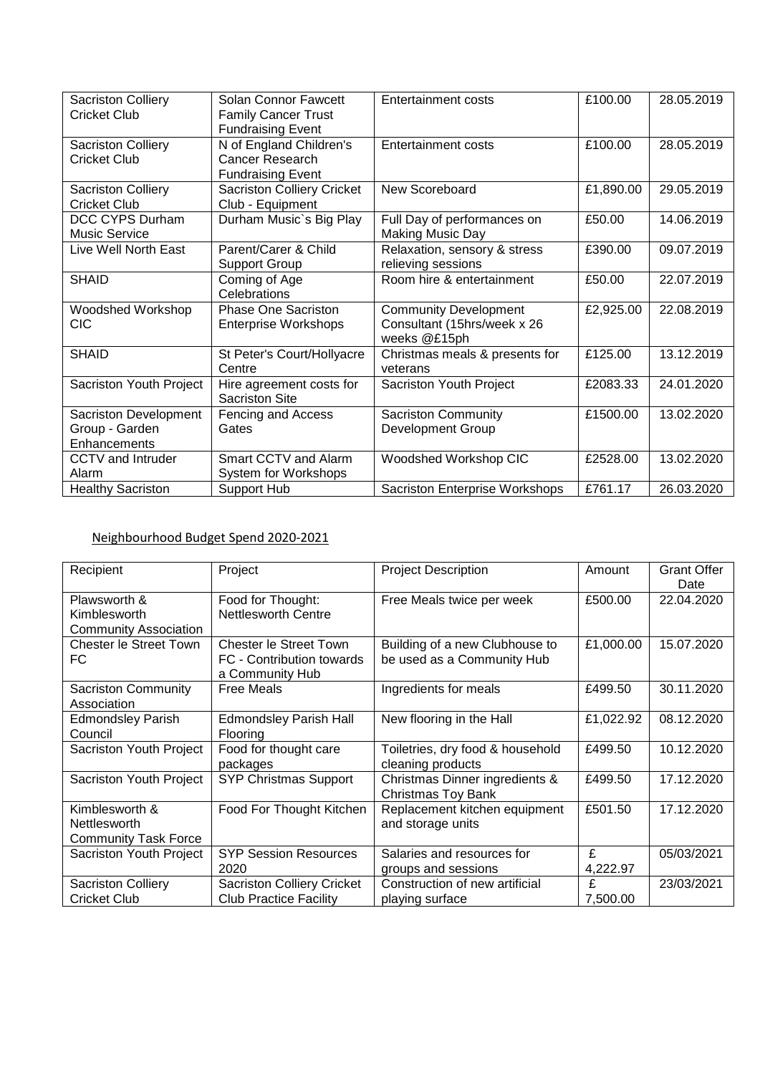| <b>Sacriston Colliery</b><br><b>Cricket Club</b>        | Solan Connor Fawcett<br><b>Family Cancer Trust</b><br><b>Fundraising Event</b> | <b>Entertainment costs</b>                                                  | £100.00   | 28.05.2019 |
|---------------------------------------------------------|--------------------------------------------------------------------------------|-----------------------------------------------------------------------------|-----------|------------|
| <b>Sacriston Colliery</b><br><b>Cricket Club</b>        | N of England Children's<br>Cancer Research<br><b>Fundraising Event</b>         | <b>Entertainment costs</b>                                                  | £100.00   | 28.05.2019 |
| <b>Sacriston Colliery</b><br><b>Cricket Club</b>        | <b>Sacriston Colliery Cricket</b><br>Club - Equipment                          | New Scoreboard                                                              | £1,890.00 | 29.05.2019 |
| DCC CYPS Durham<br><b>Music Service</b>                 | Durham Music's Big Play                                                        | Full Day of performances on<br>Making Music Day                             | £50.00    | 14.06.2019 |
| Live Well North East                                    | Parent/Carer & Child<br><b>Support Group</b>                                   | Relaxation, sensory & stress<br>relieving sessions                          | £390.00   | 09.07.2019 |
| <b>SHAID</b>                                            | Coming of Age<br>Celebrations                                                  | Room hire & entertainment                                                   | £50.00    | 22.07.2019 |
| Woodshed Workshop<br>CIC                                | <b>Phase One Sacriston</b><br><b>Enterprise Workshops</b>                      | <b>Community Development</b><br>Consultant (15hrs/week x 26<br>weeks @£15ph | £2,925.00 | 22.08.2019 |
| <b>SHAID</b>                                            | St Peter's Court/Hollyacre<br>Centre                                           | Christmas meals & presents for<br>veterans                                  | £125.00   | 13.12.2019 |
| Sacriston Youth Project                                 | Hire agreement costs for<br><b>Sacriston Site</b>                              | Sacriston Youth Project                                                     | £2083.33  | 24.01.2020 |
| Sacriston Development<br>Group - Garden<br>Enhancements | Fencing and Access<br>Gates                                                    | <b>Sacriston Community</b><br>Development Group                             | £1500.00  | 13.02.2020 |
| <b>CCTV</b> and Intruder<br>Alarm                       | Smart CCTV and Alarm<br>System for Workshops                                   | Woodshed Workshop CIC                                                       | £2528.00  | 13.02.2020 |
| <b>Healthy Sacriston</b>                                | Support Hub                                                                    | Sacriston Enterprise Workshops                                              | £761.17   | 26.03.2020 |

# Neighbourhood Budget Spend 2020-2021

| Recipient                     | Project                           | <b>Project Description</b>       | Amount    | <b>Grant Offer</b><br>Date |
|-------------------------------|-----------------------------------|----------------------------------|-----------|----------------------------|
| Plawsworth &                  | Food for Thought:                 | Free Meals twice per week        | £500.00   | 22.04.2020                 |
| Kimblesworth                  | <b>Nettlesworth Centre</b>        |                                  |           |                            |
| <b>Community Association</b>  |                                   |                                  |           |                            |
| <b>Chester le Street Town</b> | <b>Chester le Street Town</b>     | Building of a new Clubhouse to   | £1,000.00 | 15.07.2020                 |
| FC                            | FC - Contribution towards         | be used as a Community Hub       |           |                            |
|                               | a Community Hub                   |                                  |           |                            |
| <b>Sacriston Community</b>    | <b>Free Meals</b>                 | Ingredients for meals            | £499.50   | 30.11.2020                 |
| Association                   |                                   |                                  |           |                            |
| <b>Edmondsley Parish</b>      | <b>Edmondsley Parish Hall</b>     | New flooring in the Hall         | £1,022.92 | 08.12.2020                 |
| Council                       | <b>Flooring</b>                   |                                  |           |                            |
| Sacriston Youth Project       | Food for thought care             | Toiletries, dry food & household | £499.50   | 10.12.2020                 |
|                               | packages                          | cleaning products                |           |                            |
| Sacriston Youth Project       | SYP Christmas Support             | Christmas Dinner ingredients &   | £499.50   | 17.12.2020                 |
|                               |                                   | Christmas Toy Bank               |           |                            |
| Kimblesworth &                | Food For Thought Kitchen          | Replacement kitchen equipment    | £501.50   | 17.12.2020                 |
| Nettlesworth                  |                                   | and storage units                |           |                            |
| <b>Community Task Force</b>   |                                   |                                  |           |                            |
| Sacriston Youth Project       | <b>SYP Session Resources</b>      | Salaries and resources for       | £         | 05/03/2021                 |
|                               | 2020                              | groups and sessions              | 4,222.97  |                            |
| <b>Sacriston Colliery</b>     | <b>Sacriston Colliery Cricket</b> | Construction of new artificial   | £         | 23/03/2021                 |
| <b>Cricket Club</b>           | <b>Club Practice Facility</b>     | playing surface                  | 7,500.00  |                            |